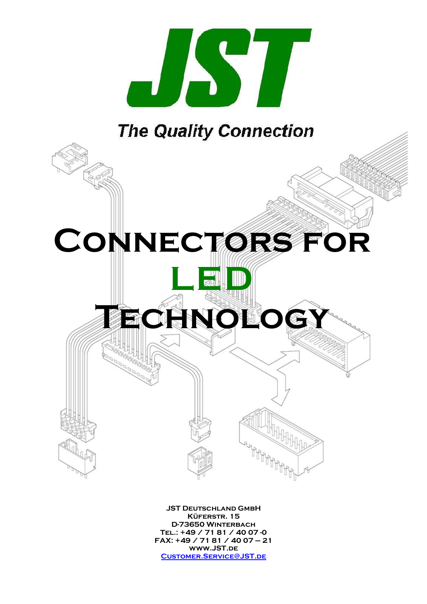

# **The Quality Connection**



JST Deutschland GmbH KÜFERSTR. 15 D-73650 Winterbach Tel.: +49 / 71 81 / 40 07 -0 FAX: +49 / 71 81 / 40 07 – 21 www.JST.de Customer.Service@JST.de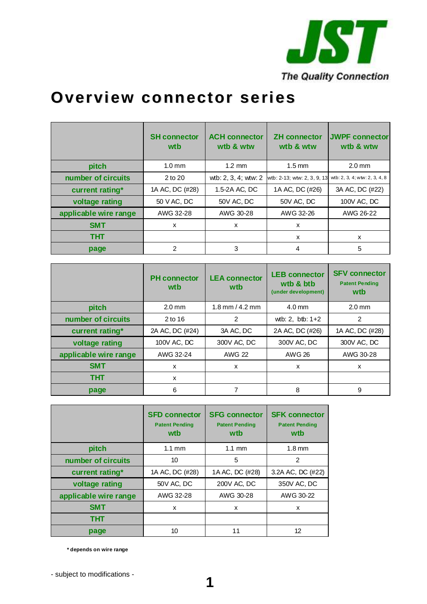

# **Overview connector series**

|                       | <b>SH connector</b><br>wtb | <b>ACH connector</b><br>wtb & wtw | <b>ZH</b> connector<br>wtb & wtw | <b>JWPF connector</b><br>wtb & wtw |
|-----------------------|----------------------------|-----------------------------------|----------------------------------|------------------------------------|
| pitch                 | $1.0 \text{ mm}$           | $1.2 \text{ mm}$                  | $1.5 \text{ mm}$                 | $2.0$ mm                           |
| number of circuits    | 2 to 20                    | wtb: 2, 3, 4; wtw: 2              | wtb: 2-13; wtw: 2, 3, 9, 13      | wtb: 2, 3, 4; wtw: 2, 3, 4, 8      |
| current rating*       | 1A AC, DC (#28)            | 1.5-2A AC, DC                     | 1A AC, DC (#26)                  | 3A AC, DC (#22)                    |
| voltage rating        | 50 V AC, DC                | 50V AC, DC                        | 50V AC, DC                       | 100V AC, DC                        |
| applicable wire range | AWG 32-28                  | AWG 30-28                         | AWG 32-26                        | AWG 26-22                          |
| <b>SMT</b>            | X                          | X                                 | X                                |                                    |
| <b>THT</b>            |                            |                                   | X                                | X                                  |
| page                  | 2                          | 3                                 | 4                                | 5                                  |

|                       | <b>PH</b> connector<br>wtb | <b>LEA</b> connector<br>wtb | <b>LEB connector</b><br>wtb & btb<br>(under development) | <b>SFV connector</b><br><b>Patent Pending</b><br>wtb |
|-----------------------|----------------------------|-----------------------------|----------------------------------------------------------|------------------------------------------------------|
| pitch                 | $2.0$ mm                   | $1.8$ mm $/ 4.2$ mm         | $4.0$ mm                                                 | $2.0$ mm                                             |
| number of circuits    | 2 to 16                    | 2                           | wtb: 2, btb: $1+2$                                       | 2                                                    |
| current rating*       | 2A AC, DC (#24)            | 3A AC, DC                   | 2A AC, DC (#26)                                          | 1A AC, DC (#28)                                      |
| voltage rating        | 100V AC, DC                | 300V AC, DC                 | 300V AC, DC                                              | 300V AC, DC                                          |
| applicable wire range | AWG 32-24                  | <b>AWG 22</b>               | AWG 26                                                   | AWG 30-28                                            |
| <b>SMT</b>            | X                          | $\mathsf{x}$                | x                                                        | x                                                    |
| THT                   | X                          |                             |                                                          |                                                      |
| page                  | 6                          |                             | 8                                                        | 9                                                    |

|                       | <b>SFD connector</b><br><b>Patent Pending</b><br>wtb | <b>SFG connector</b><br><b>Patent Pending</b><br>wtb | <b>SFK connector</b><br><b>Patent Pending</b><br>wtb |
|-----------------------|------------------------------------------------------|------------------------------------------------------|------------------------------------------------------|
| pitch                 | $1.1 \text{ mm}$                                     | $1.1 \text{ mm}$                                     | $1.8 \text{ mm}$                                     |
| number of circuits    | 10                                                   | 5                                                    | 2                                                    |
| current rating*       | 1A AC, DC (#28)                                      | 1A AC, DC (#28)                                      | 3.2A AC, DC (#22)                                    |
| voltage rating        | 50V AC, DC                                           | 200V AC, DC                                          | 350V AC, DC                                          |
| applicable wire range | AWG 32-28                                            | AWG 30-28                                            | AWG 30-22                                            |
| <b>SMT</b>            | x                                                    | x                                                    | X                                                    |
| тнт                   |                                                      |                                                      |                                                      |
| page                  | 10                                                   | 11                                                   | 12                                                   |

**\* depends on wire range**

- subject to modifications -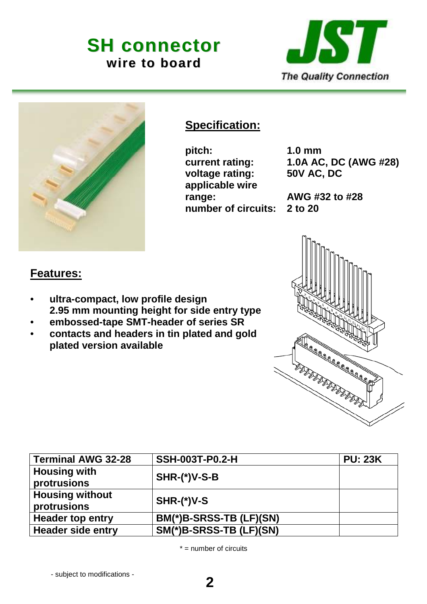# **SH connector wire to board**





# **Specification:**

**pitch: 1.0 mm voltage rating: applicable wire range: AWG #32 to #28 number of circuits: 2 to 20** 

**current rating:** 1.0A AC, DC (AWG #28)<br>voltage rating: 50V AC, DC

### **Features:**

- **ultra-compact, low profile design 2.95 mm mounting height for side entry type**
- **embossed-tape SMT-header of series SR**
- **contacts and headers in tin plated and gold plated version available**

| <b>Terminal AWG 32-28</b>             | <b>SSH-003T-P0.2-H</b>  | <b>PU: 23K</b> |
|---------------------------------------|-------------------------|----------------|
| <b>Housing with</b><br>protrusions    | $SHR-(*)V-S-B$          |                |
| <b>Housing without</b><br>protrusions | $SHR-(*)V-S$            |                |
| <b>Header top entry</b>               | BM(*)B-SRSS-TB (LF)(SN) |                |
| <b>Header side entry</b>              | SM(*)B-SRSS-TB (LF)(SN) |                |

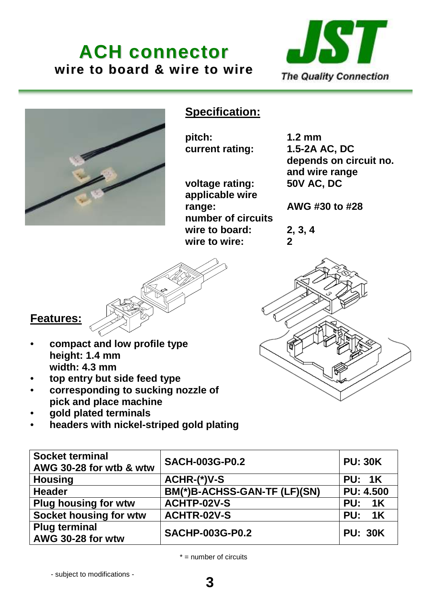**ACH connector wire to board & wire to wire**





# **Specification:**

**pitch: 1.2 mm** 

**voltage rating: 50V AC, DC applicable wire range: AWG #30 to #28 number of circuits wire to board: 2, 3, 4 wire to wire: 2** 

**current rating: 1.5-2A AC, DC depends on circuit no. and wire range** 



# **Features:**

- **compact and low profile type height: 1.4 mm width: 4.3 mm**
- **top entry but side feed type**
- **corresponding to sucking nozzle of pick and place machine**
- **gold plated terminals**
- **headers with nickel-striped gold plating**

| <b>Socket terminal</b><br>AWG 30-28 for wtb & wtw | <b>SACH-003G-P0.2</b>        | <b>PU: 30K</b>   |
|---------------------------------------------------|------------------------------|------------------|
| <b>Housing</b>                                    | ACHR-(*)V-S                  | <b>PU: 1K</b>    |
| <b>Header</b>                                     | BM(*)B-ACHSS-GAN-TF (LF)(SN) | <b>PU: 4.500</b> |
| <b>Plug housing for wtw</b>                       | <b>ACHTP-02V-S</b>           | <b>PU: 1K</b>    |
| Socket housing for wtw                            | <b>ACHTR-02V-S</b>           | <b>PU: 1K</b>    |
| <b>Plug terminal</b><br>AWG 30-28 for wtw         | <b>SACHP-003G-P0.2</b>       | <b>PU: 30K</b>   |

 $* =$  number of circuits

**3**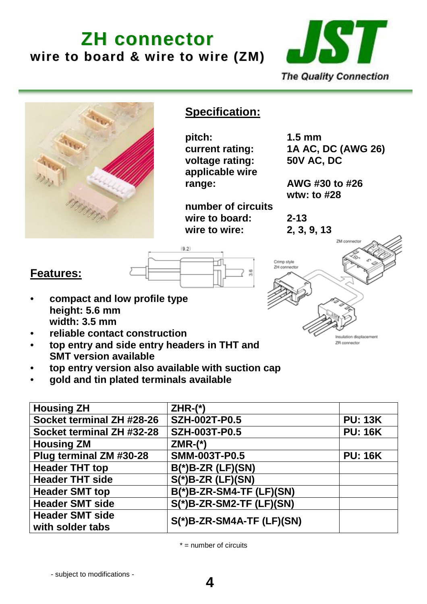# **ZH connector wire to board & wire to wire (ZM)**





- **top entry version also available with suction cap**
- **gold and tin plated terminals available**

| <b>Housing ZH</b>         | $ZHR-(*)$                   |                |
|---------------------------|-----------------------------|----------------|
| Socket terminal ZH #28-26 | <b>SZH-002T-P0.5</b>        | <b>PU: 13K</b> |
| Socket terminal ZH #32-28 | <b>SZH-003T-P0.5</b>        | <b>PU: 16K</b> |
| <b>Housing ZM</b>         | $ZMR-(*)$                   |                |
| Plug terminal ZM #30-28   | <b>SMM-003T-P0.5</b>        | <b>PU: 16K</b> |
| <b>Header THT top</b>     | $B(*)$ B-ZR (LF)(SN)        |                |
| <b>Header THT side</b>    | $S(*)$ B-ZR (LF)(SN)        |                |
| <b>Header SMT top</b>     | B(*)B-ZR-SM4-TF (LF)(SN)    |                |
| <b>Header SMT side</b>    | $S(*)$ B-ZR-SM2-TF (LF)(SN) |                |
| <b>Header SMT side</b>    | S(*)B-ZR-SM4A-TF (LF)(SN)   |                |
| with solder tabs          |                             |                |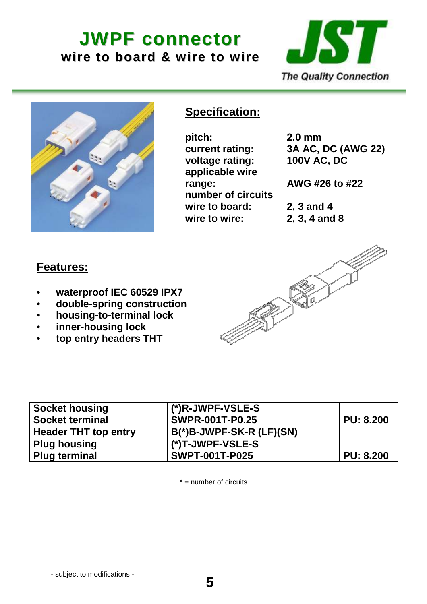**JWPF connector wire to board & wire to wire**





## **Specification:**

**pitch: 2.0 mm voltage rating: 100V AC, DC applicable wire range: AWG #26 to #22 number of circuits wire to board: 2, 3 and 4 wire to wire: 2, 3, 4 and 8** 

**current rating: 3A AC, DC (AWG 22)** 

### **Features:**

- **waterproof IEC 60529 IPX7**
- **double-spring construction**
- **housing-to-terminal lock**
- **inner-housing lock**
- **top entry headers THT**



| <b>Socket housing</b>       | $(*)$ R-JWPF-VSLE-S         |                  |
|-----------------------------|-----------------------------|------------------|
| <b>Socket terminal</b>      | <b>SWPR-001T-P0.25</b>      | <b>PU: 8.200</b> |
| <b>Header THT top entry</b> | $B(*)$ B-JWPF-SK-R (LF)(SN) |                  |
| <b>Plug housing</b>         | $(*)T$ -JWPF-VSLE-S         |                  |
| <b>Plug terminal</b>        | <b>SWPT-001T-P025</b>       | <b>PU: 8.200</b> |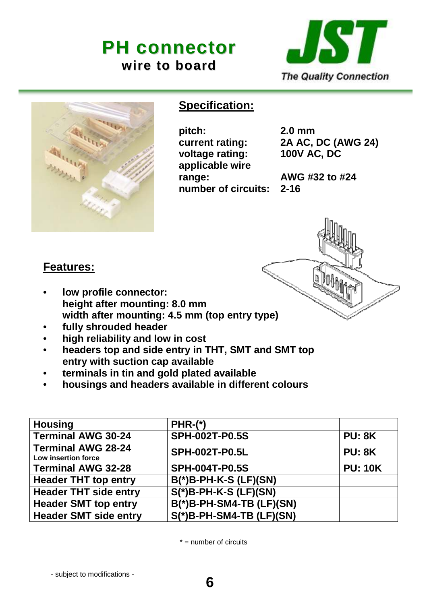# **PH connector wire to board**





### **Specification:**

**pitch: 2.0 mm voltage rating: 100V AC, DC applicable wire range: AWG #32 to #24 number of circuits: 2-16** 

**current rating: 2A AC, DC (AWG 24)** 



## **Features:**

- **low profile connector: height after mounting: 8.0 mm width after mounting: 4.5 mm (top entry type)**
- **fully shrouded header**
- **high reliability and low in cost**
- **headers top and side entry in THT, SMT and SMT top entry with suction cap available**
- **terminals in tin and gold plated available**
- **housings and headers available in different colours**

| <b>Housing</b>                                   | $PHR-(*)$                   |                |
|--------------------------------------------------|-----------------------------|----------------|
| <b>Terminal AWG 30-24</b>                        | <b>SPH-002T-P0.5S</b>       | <b>PU: 8K</b>  |
| <b>Terminal AWG 28-24</b><br>Low insertion force | <b>SPH-002T-P0.5L</b>       | <b>PU: 8K</b>  |
| <b>Terminal AWG 32-28</b>                        | <b>SPH-004T-P0.5S</b>       | <b>PU: 10K</b> |
| <b>Header THT top entry</b>                      | $B(*)$ B-PH-K-S (LF)(SN)    |                |
| <b>Header THT side entry</b>                     | $S(*)$ B-PH-K-S (LF)(SN)    |                |
| <b>Header SMT top entry</b>                      | $B(*)$ B-PH-SM4-TB (LF)(SN) |                |
| <b>Header SMT side entry</b>                     | $S(*)$ B-PH-SM4-TB (LF)(SN) |                |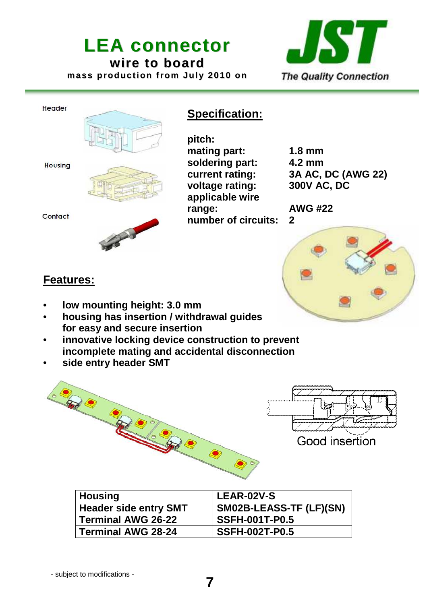# **LEA connector wire to board mass production from July 2010 on**



#### Header



#### **Housing**

Contact



**pitch: mating part: 1.8 mm soldering part: 4.2 mm voltage rating: 300V AC, DC applicable wire range: AWG #22 number of circuits: 2** 

**Specification:**

**current rating: 3A AC, DC (AWG 22)** 



- **low mounting height: 3.0 mm**
- **housing has insertion / withdrawal guides for easy and secure insertion**
- **innovative locking device construction to prevent incomplete mating and accidental disconnection**
- **side entry header SMT**



| <b>Housing</b>               | <b>LEAR-02V-S</b>       |
|------------------------------|-------------------------|
| <b>Header side entry SMT</b> | SM02B-LEASS-TF (LF)(SN) |
| Terminal AWG 26-22           | <b>SSFH-001T-P0.5</b>   |
| Terminal AWG 28-24           | <b>SSFH-002T-P0.5</b>   |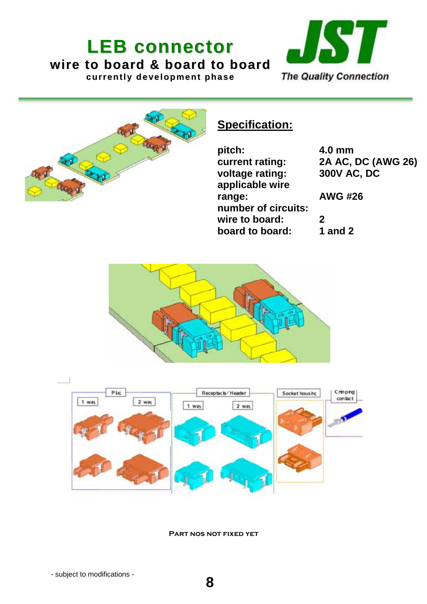# **LEB connector wire to board & board to board currently development phase**





# **Specification:**

| pitch:              | 4.             |
|---------------------|----------------|
| current rating:     | 2 <sub>l</sub> |
| voltage rating:     | 30             |
| applicable wire     |                |
| range:              | $\mathbf{A}$   |
| number of circuits: |                |
| wire to board:      | 2              |
| board to board:     | 1              |

**pitch: 4.0 mm current rating: 2A AC, DC (AWG 26) voltage rating: 300V AC, DC** 

**range: AWG #26** 

**f** and 2





Part nos not fixed yet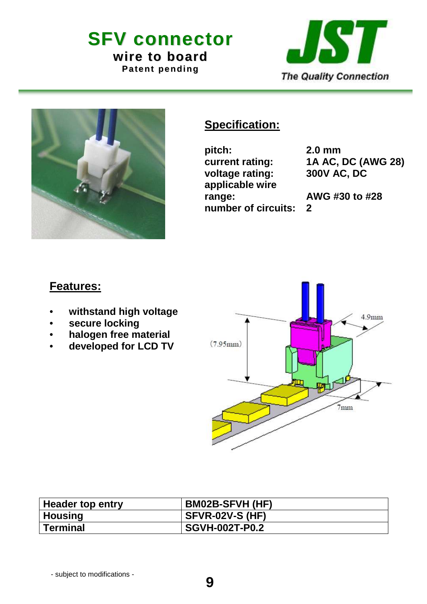**SFV connector wire to board Patent pending**





# **Specification:**

**pitch: 2.0 mm voltage rating: 300V AC, DC applicable wire range: AWG #30 to #28 number of circuits: 2** 

**current rating: 1A AC, DC (AWG 28)** 

- **withstand high voltage**
- **secure locking**
- **halogen free material**
- **developed for LCD TV**



| <b>Header top entry</b> | <b>BM02B-SFVH (HF)</b> |
|-------------------------|------------------------|
| <b>Housing</b>          | <b>SFVR-02V-S (HF)</b> |
| <b>Terminal</b>         | <b>SGVH-002T-P0.2</b>  |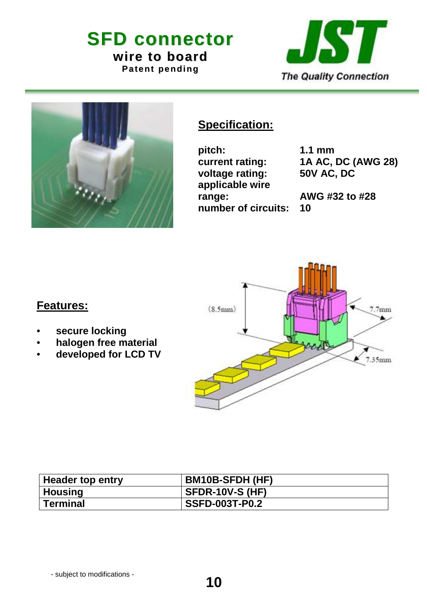**SFD connector wire to board Patent pending**

JST **The Quality Connection** 



# **Specification:**

**pitch: 1.1 mm voltage rating: 50V AC, DC applicable wire range: AWG #32 to #28 number of circuits: 10** 

**current rating: 1A AC, DC (AWG 28)** 



- **secure locking**
- **halogen free material**
- **developed for LCD TV**

| Header top entry | <b>BM10B-SFDH (HF)</b> |
|------------------|------------------------|
|                  |                        |
| <b>Housing</b>   | <b>SFDR-10V-S (HF)</b> |
| <b>Terminal</b>  | <b>SSFD-003T-P0.2</b>  |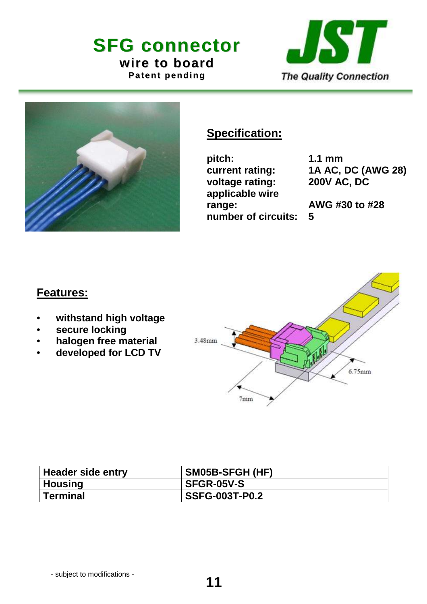**SFG connector wire to board Patent pending**





# **Specification:**

**pitch: 1.1 mm voltage rating: 200V AC, DC applicable wire range: AWG #30 to #28 number of circuits: 5** 

**current rating: 1A AC, DC (AWG 28)** 

- **withstand high voltage**
- **secure locking**
- **halogen free material**
- **developed for LCD TV**



| Header side entry | SM05B-SFGH (HF)       |
|-------------------|-----------------------|
| Housing           | <b>SFGR-05V-S</b>     |
| <b>Terminal</b>   | <b>SSFG-003T-P0.2</b> |